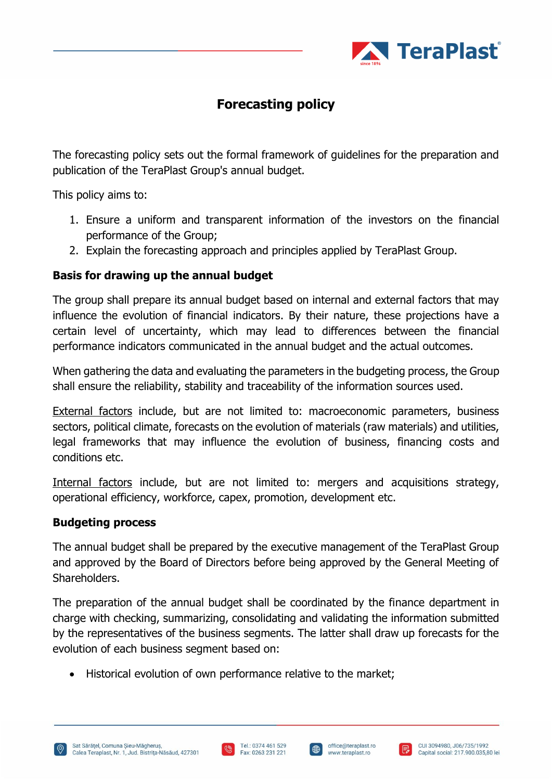

# **Forecasting policy**

The forecasting policy sets out the formal framework of guidelines for the preparation and publication of the TeraPlast Group's annual budget.

This policy aims to:

- 1. Ensure a uniform and transparent information of the investors on the financial performance of the Group;
- 2. Explain the forecasting approach and principles applied by TeraPlast Group.

### **Basis for drawing up the annual budget**

The group shall prepare its annual budget based on internal and external factors that may influence the evolution of financial indicators. By their nature, these projections have a certain level of uncertainty, which may lead to differences between the financial performance indicators communicated in the annual budget and the actual outcomes.

When gathering the data and evaluating the parameters in the budgeting process, the Group shall ensure the reliability, stability and traceability of the information sources used.

External factors include, but are not limited to: macroeconomic parameters, business sectors, political climate, forecasts on the evolution of materials (raw materials) and utilities, legal frameworks that may influence the evolution of business, financing costs and conditions etc.

Internal factors include, but are not limited to: mergers and acquisitions strategy, operational efficiency, workforce, capex, promotion, development etc.

### **Budgeting process**

The annual budget shall be prepared by the executive management of the TeraPlast Group and approved by the Board of Directors before being approved by the General Meeting of Shareholders.

The preparation of the annual budget shall be coordinated by the finance department in charge with checking, summarizing, consolidating and validating the information submitted by the representatives of the business segments. The latter shall draw up forecasts for the evolution of each business segment based on:

• Historical evolution of own performance relative to the market;





 $\bigoplus$ 

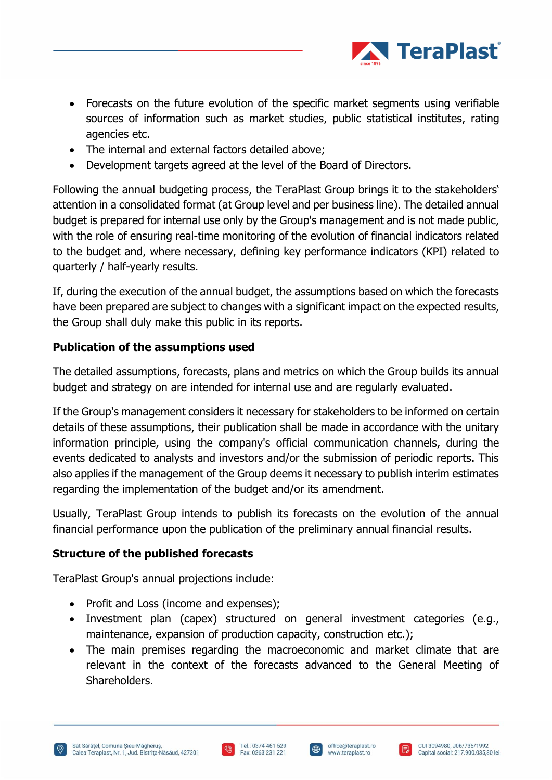

- Forecasts on the future evolution of the specific market segments using verifiable sources of information such as market studies, public statistical institutes, rating agencies etc.
- The internal and external factors detailed above;
- Development targets agreed at the level of the Board of Directors.

Following the annual budgeting process, the TeraPlast Group brings it to the stakeholders' attention in a consolidated format (at Group level and per business line). The detailed annual budget is prepared for internal use only by the Group's management and is not made public, with the role of ensuring real-time monitoring of the evolution of financial indicators related to the budget and, where necessary, defining key performance indicators (KPI) related to quarterly / half-yearly results.

If, during the execution of the annual budget, the assumptions based on which the forecasts have been prepared are subject to changes with a significant impact on the expected results, the Group shall duly make this public in its reports.

### **Publication of the assumptions used**

The detailed assumptions, forecasts, plans and metrics on which the Group builds its annual budget and strategy on are intended for internal use and are regularly evaluated.

If the Group's management considers it necessary for stakeholders to be informed on certain details of these assumptions, their publication shall be made in accordance with the unitary information principle, using the company's official communication channels, during the events dedicated to analysts and investors and/or the submission of periodic reports. This also applies if the management of the Group deems it necessary to publish interim estimates regarding the implementation of the budget and/or its amendment.

Usually, TeraPlast Group intends to publish its forecasts on the evolution of the annual financial performance upon the publication of the preliminary annual financial results.

### **Structure of the published forecasts**

TeraPlast Group's annual projections include:

- Profit and Loss (income and expenses);
- Investment plan (capex) structured on general investment categories (e.g., maintenance, expansion of production capacity, construction etc.);
- The main premises regarding the macroeconomic and market climate that are relevant in the context of the forecasts advanced to the General Meeting of Shareholders.





 $\oplus$